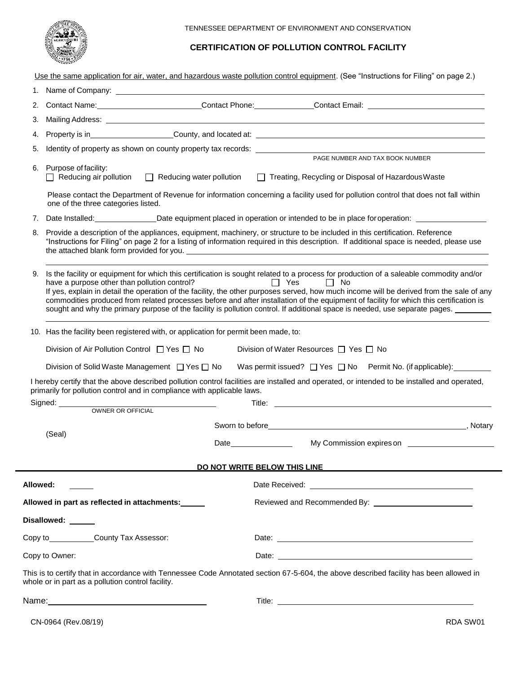

# **CERTIFICATION OF POLLUTION CONTROL FACILITY**

Use the same application for air, water, and hazardous waste pollution control equipment. (See "Instructions for Filing" on page 2.)

| 1.                   |                                 |                                                                                                                                                                                                                                                                                                                                                                                                                                                                                                                                                                                                                                                                                                                                                                                                                                                                                                                                          |  |  |  |
|----------------------|---------------------------------|------------------------------------------------------------------------------------------------------------------------------------------------------------------------------------------------------------------------------------------------------------------------------------------------------------------------------------------------------------------------------------------------------------------------------------------------------------------------------------------------------------------------------------------------------------------------------------------------------------------------------------------------------------------------------------------------------------------------------------------------------------------------------------------------------------------------------------------------------------------------------------------------------------------------------------------|--|--|--|
|                      |                                 | Contact Name: Contact Phone: Contact Phone: Contact Email: Contact Email:                                                                                                                                                                                                                                                                                                                                                                                                                                                                                                                                                                                                                                                                                                                                                                                                                                                                |  |  |  |
|                      |                                 |                                                                                                                                                                                                                                                                                                                                                                                                                                                                                                                                                                                                                                                                                                                                                                                                                                                                                                                                          |  |  |  |
|                      |                                 | Property is in County, and located at:                                                                                                                                                                                                                                                                                                                                                                                                                                                                                                                                                                                                                                                                                                                                                                                                                                                                                                   |  |  |  |
|                      |                                 |                                                                                                                                                                                                                                                                                                                                                                                                                                                                                                                                                                                                                                                                                                                                                                                                                                                                                                                                          |  |  |  |
| Purpose of facility: | $\Box$ Reducing water pollution | PAGE NUMBER AND TAX BOOK NUMBER<br>Treating, Recycling or Disposal of Hazardous Waste                                                                                                                                                                                                                                                                                                                                                                                                                                                                                                                                                                                                                                                                                                                                                                                                                                                    |  |  |  |
|                      |                                 | Please contact the Department of Revenue for information concerning a facility used for pollution control that does not fall within                                                                                                                                                                                                                                                                                                                                                                                                                                                                                                                                                                                                                                                                                                                                                                                                      |  |  |  |
| 7.                   |                                 |                                                                                                                                                                                                                                                                                                                                                                                                                                                                                                                                                                                                                                                                                                                                                                                                                                                                                                                                          |  |  |  |
|                      |                                 | "Instructions for Filing" on page 2 for a listing of information required in this description. If additional space is needed, please use                                                                                                                                                                                                                                                                                                                                                                                                                                                                                                                                                                                                                                                                                                                                                                                                 |  |  |  |
|                      |                                 | Is the facility or equipment for which this certification is sought related to a process for production of a saleable commodity and/or<br>$\Box$ Yes<br>$\Box$ No<br>If yes, explain in detail the operation of the facility, the other purposes served, how much income will be derived from the sale of any<br>commodities produced from related processes before and after installation of the equipment of facility for which this certification is<br>sought and why the primary purpose of the facility is pollution control. If additional space is needed, use separate pages.                                                                                                                                                                                                                                                                                                                                                   |  |  |  |
|                      |                                 |                                                                                                                                                                                                                                                                                                                                                                                                                                                                                                                                                                                                                                                                                                                                                                                                                                                                                                                                          |  |  |  |
|                      |                                 | Division of Water Resources □ Yes □ No                                                                                                                                                                                                                                                                                                                                                                                                                                                                                                                                                                                                                                                                                                                                                                                                                                                                                                   |  |  |  |
|                      |                                 |                                                                                                                                                                                                                                                                                                                                                                                                                                                                                                                                                                                                                                                                                                                                                                                                                                                                                                                                          |  |  |  |
|                      |                                 | Was permit issued? $\Box$ Yes $\Box$ No Permit No. (if applicable):                                                                                                                                                                                                                                                                                                                                                                                                                                                                                                                                                                                                                                                                                                                                                                                                                                                                      |  |  |  |
|                      |                                 |                                                                                                                                                                                                                                                                                                                                                                                                                                                                                                                                                                                                                                                                                                                                                                                                                                                                                                                                          |  |  |  |
|                      |                                 | Title: <u>the contract of the contract of the contract of the contract of the contract of the contract of the contract of the contract of the contract of the contract of the contract of the contract of the contract of the co</u>                                                                                                                                                                                                                                                                                                                                                                                                                                                                                                                                                                                                                                                                                                     |  |  |  |
|                      |                                 |                                                                                                                                                                                                                                                                                                                                                                                                                                                                                                                                                                                                                                                                                                                                                                                                                                                                                                                                          |  |  |  |
| (Seal)               |                                 |                                                                                                                                                                                                                                                                                                                                                                                                                                                                                                                                                                                                                                                                                                                                                                                                                                                                                                                                          |  |  |  |
|                      |                                 | My Commission expires on                                                                                                                                                                                                                                                                                                                                                                                                                                                                                                                                                                                                                                                                                                                                                                                                                                                                                                                 |  |  |  |
|                      |                                 | DO NOT WRITE BELOW THIS LINE                                                                                                                                                                                                                                                                                                                                                                                                                                                                                                                                                                                                                                                                                                                                                                                                                                                                                                             |  |  |  |
| Allowed:             |                                 |                                                                                                                                                                                                                                                                                                                                                                                                                                                                                                                                                                                                                                                                                                                                                                                                                                                                                                                                          |  |  |  |
|                      |                                 |                                                                                                                                                                                                                                                                                                                                                                                                                                                                                                                                                                                                                                                                                                                                                                                                                                                                                                                                          |  |  |  |
| Disallowed: ______   |                                 |                                                                                                                                                                                                                                                                                                                                                                                                                                                                                                                                                                                                                                                                                                                                                                                                                                                                                                                                          |  |  |  |
|                      |                                 |                                                                                                                                                                                                                                                                                                                                                                                                                                                                                                                                                                                                                                                                                                                                                                                                                                                                                                                                          |  |  |  |
| Copy to Owner:       |                                 | Date: <u>the contract of the contract of the contract of the contract of the contract of the contract of the contract of the contract of the contract of the contract of the contract of the contract of the contract of the con</u>                                                                                                                                                                                                                                                                                                                                                                                                                                                                                                                                                                                                                                                                                                     |  |  |  |
|                      |                                 | This is to certify that in accordance with Tennessee Code Annotated section 67-5-604, the above described facility has been allowed in                                                                                                                                                                                                                                                                                                                                                                                                                                                                                                                                                                                                                                                                                                                                                                                                   |  |  |  |
|                      |                                 |                                                                                                                                                                                                                                                                                                                                                                                                                                                                                                                                                                                                                                                                                                                                                                                                                                                                                                                                          |  |  |  |
|                      |                                 | $\Box$ Reducing air pollution<br>one of the three categories listed.<br>Provide a description of the appliances, equipment, machinery, or structure to be included in this certification. Reference<br>have a purpose other than pollution control?<br>10. Has the facility been registered with, or application for permit been made, to:<br>Division of Air Pollution Control $\Box$ Yes $\Box$ No<br>Division of Solid Waste Management □ Yes □ No<br>I hereby certify that the above described pollution control facilities are installed and operated, or intended to be installed and operated,<br>primarily for pollution control and in compliance with applicable laws.<br>Date and the state of the state of the state of the state of the state of the state of the state of the state o<br>Allowed in part as reflected in attachments:<br>Copy to County Tax Assessor:<br>whole or in part as a pollution control facility. |  |  |  |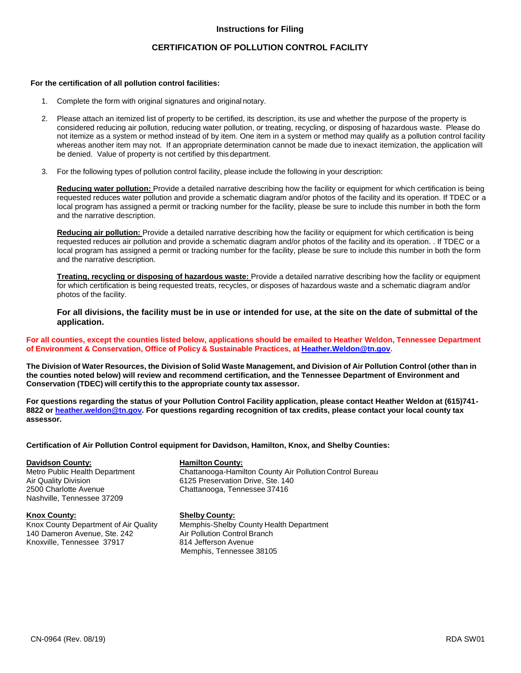### **Instructions for Filing**

## **CERTIFICATION OF POLLUTION CONTROL FACILITY**

### **For the certification of all pollution control facilities:**

- 1. Complete the form with original signatures and original notary.
- 2. Please attach an itemized list of property to be certified, its description, its use and whether the purpose of the property is considered reducing air pollution, reducing water pollution, or treating, recycling, or disposing of hazardous waste. Please do not itemize as a system or method instead of by item. One item in a system or method may qualify as a pollution control facility whereas another item may not. If an appropriate determination cannot be made due to inexact itemization, the application will be denied. Value of property is not certified by this department.
- 3. For the following types of pollution control facility, please include the following in your description:

**Reducing water pollution:** Provide a detailed narrative describing how the facility or equipment for which certification is being requested reduces water pollution and provide a schematic diagram and/or photos of the facility and its operation. If TDEC or a local program has assigned a permit or tracking number for the facility, please be sure to include this number in both the form and the narrative description.

**Reducing air pollution:** Provide a detailed narrative describing how the facility or equipment for which certification is being requested reduces air pollution and provide a schematic diagram and/or photos of the facility and its operation. . If TDEC or a local program has assigned a permit or tracking number for the facility, please be sure to include this number in both the form and the narrative description.

**Treating, recycling or disposing of hazardous waste:** Provide a detailed narrative describing how the facility or equipment for which certification is being requested treats, recycles, or disposes of hazardous waste and a schematic diagram and/or photos of the facility.

**For all divisions, the facility must be in use or intended for use, at the site on the date of submittal of the application.**

### **For all counties, except the counties listed below, applications should be emailed to Heather Weldon, Tennessee Department of Environment & Conservation, Office of Policy & Sustainable Practices, at [Heather.Weldon@tn.gov.](mailto:Heather.Weldon@tn.gov)**

The Division of Water Resources, the Division of Solid Waste Management, and Division of Air Pollution Control (other than in **the counties noted below) will review and recommend certification, and the Tennessee Department of Environment and Conservation (TDEC) will certify this to the appropriate county tax assessor.**

**For questions regarding the status of your Pollution Control Facility application, please contact Heather Weldon at (615)741- 8822 or [heather.weldon@tn.gov.](mailto:heather.weldon@tn.gov) For questions regarding recognition of tax credits, please contact your local county tax assessor.**

### **Certification of Air Pollution Control equipment for Davidson, Hamilton, Knox, and Shelby Counties:**

**Davidson County: Hamilton County:** Nashville, Tennessee 37209

**Knox County: Shelby County:** 140 Dameron Avenue, Ste. 242 Air Pollution Control Branch Branch Branch Branch Br<br>
Knoxville, Tennessee 37917 814 Jefferson Avenue Knoxville, Tennessee 37917

Chattanooga-Hamilton County Air Pollution Control Bureau Air Quality Division 6125 Preservation Drive, Ste. 140 2500 Charlotte Avenue Chattanooga, Tennessee 37416

Memphis-Shelby County Health Department<br>Air Pollution Control Branch Memphis, Tennessee 38105